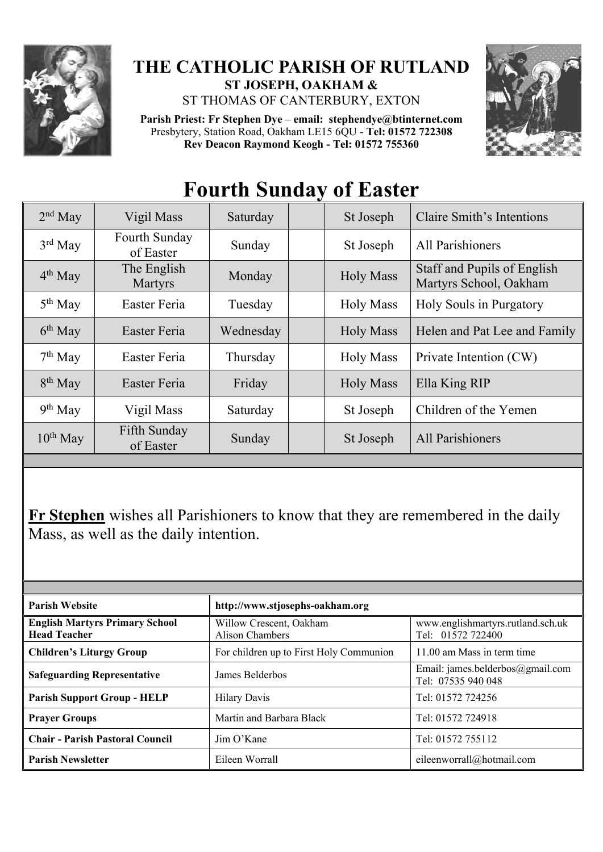

## **THE CATHOLIC PARISH OF RUTLAND ST JOSEPH, OAKHAM &**

ST THOMAS OF CANTERBURY, EXTON

**Parish Priest: Fr Stephen Dye** – **[email: stephendye@btinternet.com](mailto:email:%20%20stephendye@btinternet.com)** Presbytery, Station Road, Oakham LE15 6QU - **Tel: 01572 722308 Rev Deacon Raymond Keogh - Tel: 01572 755360**



## **Fourth Sunday of Easter**

| $2nd$ May     | Vigil Mass                 | Saturday  | St Joseph        | Claire Smith's Intentions                             |
|---------------|----------------------------|-----------|------------------|-------------------------------------------------------|
| $3rd$ May     | Fourth Sunday<br>of Easter | Sunday    | St Joseph        | All Parishioners                                      |
| $4th$ May     | The English<br>Martyrs     | Monday    | <b>Holy Mass</b> | Staff and Pupils of English<br>Martyrs School, Oakham |
| $5th$ May     | Easter Feria               | Tuesday   | <b>Holy Mass</b> | Holy Souls in Purgatory                               |
| $6th$ May     | Easter Feria               | Wednesday | <b>Holy Mass</b> | Helen and Pat Lee and Family                          |
| $7th$ May     | Easter Feria               | Thursday  | <b>Holy Mass</b> | Private Intention (CW)                                |
| $8th$ May     | Easter Feria               | Friday    | <b>Holy Mass</b> | Ella King RIP                                         |
| $9th$ May     | Vigil Mass                 | Saturday  | St Joseph        | Children of the Yemen                                 |
| $10^{th}$ May | Fifth Sunday<br>of Easter  | Sunday    | St Joseph        | All Parishioners                                      |

**Fr Stephen** wishes all Parishioners to know that they are remembered in the daily Mass, as well as the daily intention.

| <b>Parish Website</b>                                        | http://www.stjosephs-oakham.org                   |                                                        |  |  |
|--------------------------------------------------------------|---------------------------------------------------|--------------------------------------------------------|--|--|
| <b>English Martyrs Primary School</b><br><b>Head Teacher</b> | Willow Crescent, Oakham<br><b>Alison Chambers</b> | www.englishmartyrs.rutland.sch.uk<br>Tel: 01572 722400 |  |  |
| <b>Children's Liturgy Group</b>                              | For children up to First Holy Communion           | 11.00 am Mass in term time                             |  |  |
| <b>Safeguarding Representative</b>                           | James Belderbos                                   | Email: james.belderbos@gmail.com<br>Tel: 07535 940 048 |  |  |
| <b>Parish Support Group - HELP</b>                           | <b>Hilary Davis</b>                               | Tel: 01572 724256                                      |  |  |
| <b>Prayer Groups</b>                                         | Martin and Barbara Black                          | Tel: 01572 724918                                      |  |  |
| <b>Chair - Parish Pastoral Council</b>                       | Jim O'Kane                                        | Tel: 01572 755112                                      |  |  |
| <b>Parish Newsletter</b>                                     | Eileen Worrall                                    | eileenworrall@hotmail.com                              |  |  |